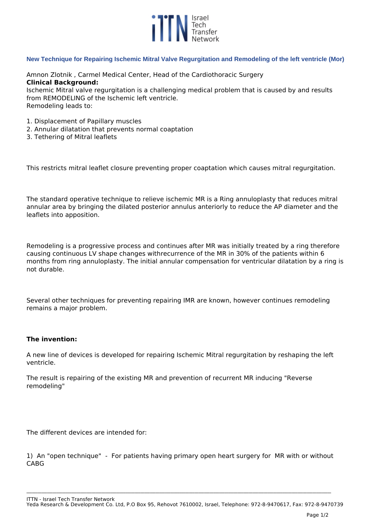

## **New Technique for Repairing Ischemic Mitral Valve Regurgitation and Remodeling of the left ventricle (Mor)**

*Amnon Zlotnik , Carmel Medical Center, Head of the Cardiothoracic Surgery*  **Clinical Background:** *Ischemic Mitral valve regurgitation is a challenging medical problem that is caused by and results from REMODELING of the Ischemic left ventricle.* 

*Remodeling leads to:*

- *1. Displacement of Papillary muscles*
- *2. Annular dilatation that prevents normal coaptation*
- *3. Tethering of Mitral leaflets*

*This restricts mitral leaflet closure preventing proper coaptation which causes mitral regurgitation.*

*The standard operative technique to relieve ischemic MR is a Ring annuloplasty that reduces mitral annular area by bringing the dilated posterior annulus anteriorly to reduce the AP diameter and the leaflets into apposition.*

*Remodeling is a progressive process and continues after MR was initially treated by a ring therefore causing continuous LV shape changes withrecurrence of the MR in 30% of the patients within 6 months from ring annuloplasty. The initial annular compensation for ventricular dilatation by a ring is not durable.*

*Several other techniques for preventing repairing IMR are known, however continues remodeling remains a major problem.*

## **The invention:**

*A new line of devices is developed for repairing Ischemic Mitral regurgitation by reshaping the left ventricle.* 

*The result is repairing of the existing MR and prevention of recurrent MR inducing "Reverse remodeling"*

*The different devices are intended for:*

*1) An "open technique" - For patients having primary open heart surgery for MR with or without CABG*

**\_\_\_\_\_\_\_\_\_\_\_\_\_\_\_\_\_\_\_\_\_\_\_\_\_\_\_\_\_\_\_\_\_\_\_\_\_\_\_\_\_\_\_\_\_\_\_\_\_\_\_\_\_\_\_\_\_\_\_\_\_\_\_\_\_\_\_\_\_\_\_\_\_\_\_\_\_\_\_\_\_\_\_\_\_\_\_\_\_\_\_\_\_\_\_\_\_\_\_\_\_\_\_\_\_\_\_\_\_\_\_\_\_\_\_\_\_\_\_\_\_\_\_\_\_\_\_\_\_\_\_\_\_\_\_\_\_\_\_\_\_\_\_\_\_\_\_\_\_\_\_\_\_\_\_\_\_\_\_\_\_\_\_**

*ITTN - Israel Tech Transfer Network*

*Yeda Research & Development Co. Ltd, P.O Box 95, Rehovot 7610002, Israel, Telephone: 972-8-9470617, Fax: 972-8-9470739*